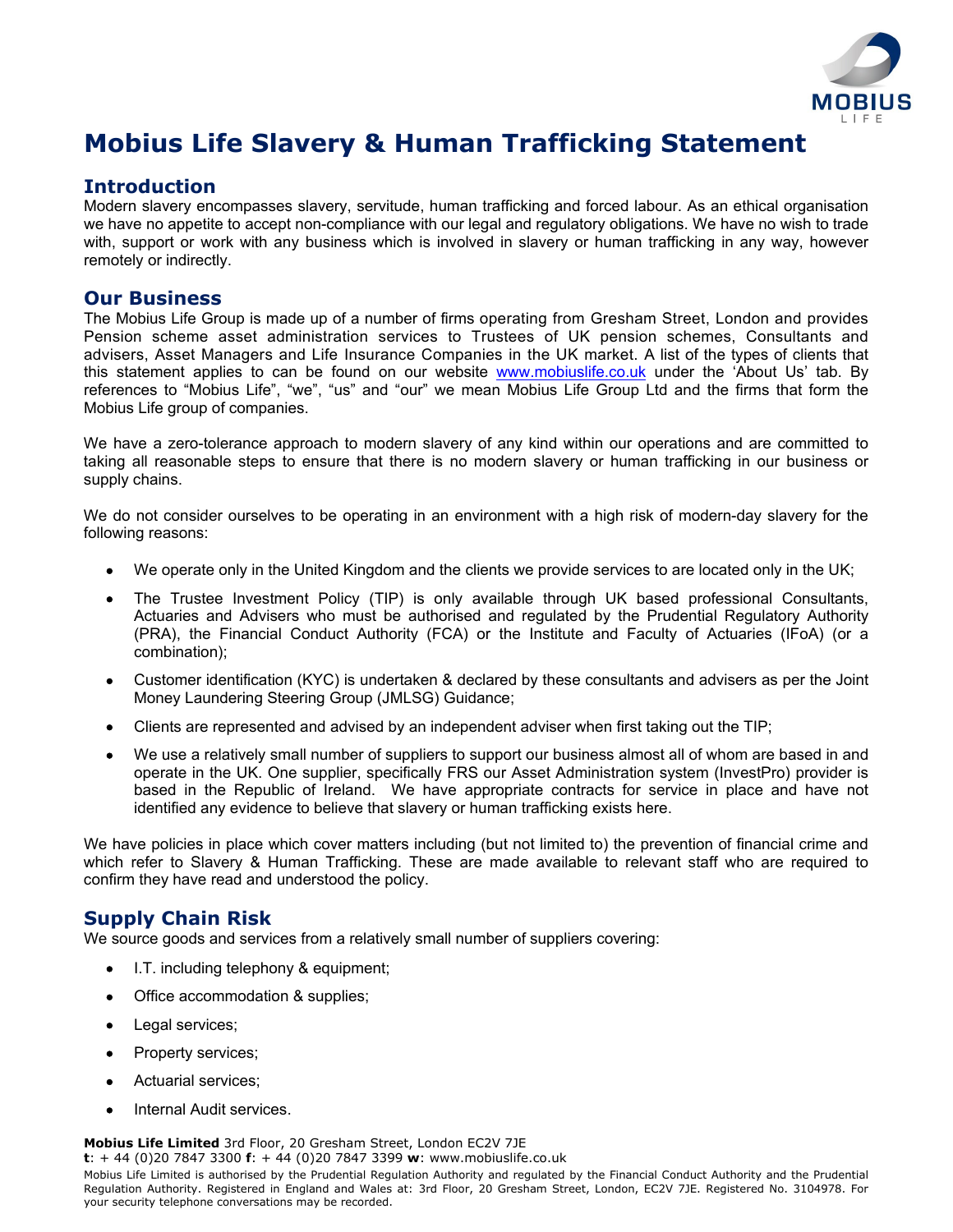

# **Mobius Life Slavery & Human Trafficking Statement**

### **Introduction**

Modern slavery encompasses slavery, servitude, human trafficking and forced labour. As an ethical organisation we have no appetite to accept non-compliance with our legal and regulatory obligations. We have no wish to trade with, support or work with any business which is involved in slavery or human trafficking in any way, however remotely or indirectly.

## **Our Business**

The Mobius Life Group is made up of a number of firms operating from Gresham Street, London and provides Pension scheme asset administration services to Trustees of UK pension schemes, Consultants and advisers, Asset Managers and Life Insurance Companies in the UK market. A list of the types of clients that this statement applies to can be found on our website [www.mobiuslife.co.uk](http://www.mobiuslife.co.uk/) under the 'About Us' tab. By references to "Mobius Life", "we", "us" and "our" we mean Mobius Life Group Ltd and the firms that form the Mobius Life group of companies.

We have a zero-tolerance approach to modern slavery of any kind within our operations and are committed to taking all reasonable steps to ensure that there is no modern slavery or human trafficking in our business or supply chains.

We do not consider ourselves to be operating in an environment with a high risk of modern-day slavery for the following reasons:

- We operate only in the United Kingdom and the clients we provide services to are located only in the UK;
- The Trustee Investment Policy (TIP) is only available through UK based professional Consultants, Actuaries and Advisers who must be authorised and regulated by the Prudential Regulatory Authority (PRA), the Financial Conduct Authority (FCA) or the Institute and Faculty of Actuaries (IFoA) (or a combination);
- Customer identification (KYC) is undertaken & declared by these consultants and advisers as per the Joint Money Laundering Steering Group (JMLSG) Guidance;
- Clients are represented and advised by an independent adviser when first taking out the TIP;
- We use a relatively small number of suppliers to support our business almost all of whom are based in and operate in the UK. One supplier, specifically FRS our Asset Administration system (InvestPro) provider is based in the Republic of Ireland. We have appropriate contracts for service in place and have not identified any evidence to believe that slavery or human trafficking exists here.

We have policies in place which cover matters including (but not limited to) the prevention of financial crime and which refer to Slavery & Human Trafficking. These are made available to relevant staff who are required to confirm they have read and understood the policy.

## **Supply Chain Risk**

We source goods and services from a relatively small number of suppliers covering:

- I.T. including telephony & equipment;
- Office accommodation & supplies;
- Legal services;
- Property services;
- Actuarial services;
- Internal Audit services.

**Mobius Life Limited** 3rd Floor, 20 Gresham Street, London EC2V 7JE

**t**: + 44 (0)20 7847 3300 **f**: + 44 (0)20 7847 3399 **w**: www.mobiuslife.co.uk

Mobius Life Limited is authorised by the Prudential Regulation Authority and regulated by the Financial Conduct Authority and the Prudential Regulation Authority. Registered in England and Wales at: 3rd Floor, 20 Gresham Street, London, EC2V 7JE. Registered No. 3104978. For your security telephone conversations may be recorded.